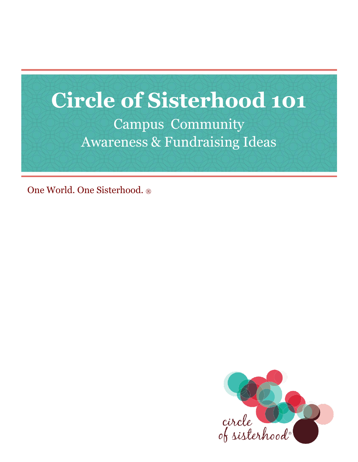# **Circle of Sisterhood 101** Campus Community Awareness & Fundraising Ideas

One World. One Sisterhood. ®

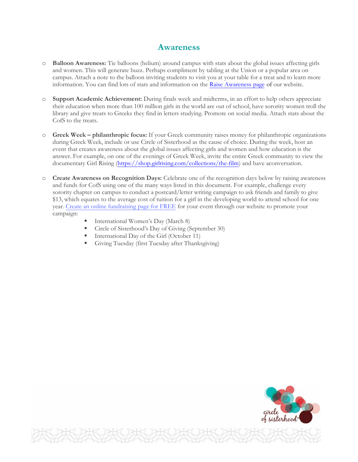#### **Awareness**

- o **Balloon Awareness:** Tie balloons (helium) around campus with stats about the global issues affecting girls and women. This will generate buzz. Perhaps compliment by tabling at the Union or a popular area on campus. Attach a note to the balloon inviting students to visit you at your table for a treat and to learn more information. You can find lots of stats and information on the [Raise Awareness page](https://circleofsisterhood.org/raise-awareness/) of our website.
- o **Support Academic Achievement:** During finals week and midterms, in an effort to help others appreciate their education when more than 100 million girls in the world are out of school, have sorority women troll the library and give treats to Greeks they find in letters studying. Promote on social media. Attach stats about the CofS to the treats.
- Greek Week philanthropic focus: If your Greek community raises money for philanthropic organizations during Greek Week, include or use Circle of Sisterhood as the cause of choice. During the week, host an event that creates awareness about the global issues affecting girls and women and how education is the answer. For example, on one of the evenings of Greek Week, invite the entire Greek community to view the documentary Girl Rising [\(https://shop.girlrising.com/collections/the-film\)](https://shop.girlrising.com/collections/the-film) and have aconversation.
- o **Create Awareness on Recognition Days:** Celebrate one of the recognition days below by raising awareness and funds for CofS using one of the many ways listed in this document. For example, challenge every sorority chapter on campus to conduct a postcard/letter writing campaign to ask friends and family to give \$13, which equates to the average cost of tuition for a girl in the developing world to attend school for one year. [Create an online fundraising](https://circleofsisterhood.networkforgood.com/projects/159572-help-remove-barriers-to-education) page for FREE for your event through our website to promote your campaign:
	- International Women's Day (March 8)
	- Circle of Sisterhood's Day of Giving (September 30)
	- International Day of the Girl (October 11)
	- Giving Tuesday (first Tuesday after Thanksgiving)

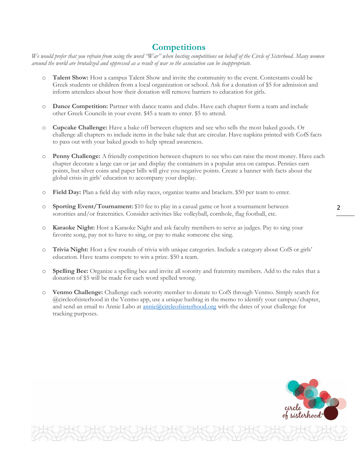# **Competitions**

We would prefer that you refrain from using the word "War" when hosting competitions on behalf of the Circle of Sisterhood. Many women *around the world are brutalized and oppressed as a result of war so the association can be inappropriate.*

- o **Talent Show:** Host a campus Talent Show and invite the community to the event. Contestants could be Greek students or children from a local organization or school. Ask for a donation of \$5 for admission and inform attendees about how their donation will remove barriers to education for girls.
- o **Dance Competition:** Partner with dance teams and clubs. Have each chapter form a team and include other Greek Councils in your event. \$45 a team to enter. \$5 to attend.
- o **Cupcake Challenge:** Have a bake off between chapters and see who sells the most baked goods. Or challenge all chapters to include items in the bake sale that are circular. Have napkins printed with CofS facts to pass out with your baked goods to help spread awareness.
- **Penny Challenge:** A friendly competition between chapters to see who can raise the most money. Have each chapter decorate a large can or jar and display the containers in a popular area on campus. Pennies earn points, but silver coins and paper bills will give you negative points. Create a banner with facts about the global crisis in girls' education to accompany your display.
- o **Field Day:** Plan a field day with relay races, organize teams and brackets. \$50 per team to enter.
- o **Sporting Event/Tournament:** \$10 fee to play in a casual game or host a tournament between 2 sororities and/or fraternities. Consider activities like volleyball, cornhole, flag football, etc.
- o **Karaoke Night:** Host a Karaoke Night and ask faculty members to serve as judges. Pay to sing your favorite song, pay not to have to sing, or pay to make someone else sing.
- o **Trivia Night:** Host a few rounds of trivia with unique categories. Include a category about CofS or girls' education. Have teams compete to win a prize. \$50 a team.
- o **Spelling Bee:** Organize a spelling bee and invite all sorority and fraternity members. Add to the rules that a donation of \$5 will be made for each word spelled wrong.
- o **Venmo Challenge:** Challenge each sorority member to donate to CofS through Venmo. Simply search for @circleofsisterhood in the Venmo app, use a unique hashtag in the memo to identify your campus/chapter, and send an email to Annie Labo at <u>[annie@circleofsisterhood.org](mailto:annie@circleofsisterhood.org)</u> with the dates of your challenge for tracking purposes.

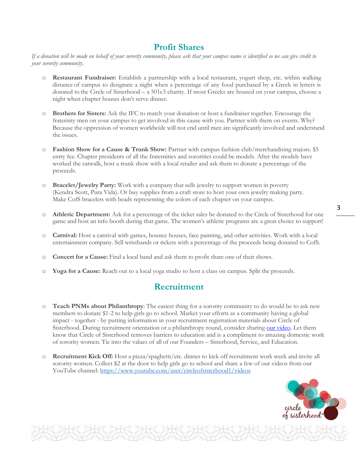# **Profit Shares**

*If a donation will be made on behalf of your sorority community, please ask that your campus name is identified so we can give credit to your sorority community.*

- o **Restaurant Fundraiser:** Establish a partnership with a local restaurant, yogurt shop, etc. within walking distance of campus to designate a night when a percentage of any food purchased by a Greek in letters is donated to the Circle of Sisterhood – a 501c3 charity. If most Greeks are housed on your campus, choose a night when chapter houses don't serve dinner.
- **Brothers for Sisters:** Ask the IFC to match your donation or host a fundraiser together. Encourage the fraternity men on your campus to get involved in this cause with you. Partner with them on events. Why? Because the oppression of women worldwide will not end until men are significantly involved and understand the issues.
- o **Fashion Show for a Cause & Trunk Show:** Partner with campus fashion club/merchandising majors. \$5 entry fee. Chapter presidents of all the fraternities and sororities could be models. After the models have worked the catwalk, host a trunk show with a local retailer and ask them to donate a percentage of the proceeds.
- o **Bracelet/Jewelry Party:** Work with a company that sells jewelry to support women in poverty (Kendra Scott, Pura Vida). Or buy supplies from a craft store to host your own jewelry making party. Make CofS bracelets with beads representing the colors of each chapter on your campus.
- o **Athletic Department:** Ask for a percentage of the ticket sales be donated to the Circle of Sisterhood for one game and host an info booth during that game. The women's athletic programs are a great choice to support!
- o **Carnival:** Host a carnival with games, bounce houses, face painting, and other activities. Work with a local entertainment company. Sell wristbands or tickets with a percentage of the proceeds being donated to CofS.
- o **Concert for a Cause:** Find a local band and ask them to profit share one of their shows.
- o **Yoga for a Cause:** Reach out to a local yoga studio to host a class on campus. Split the proceeds.

### **Recruitment**

- o **Teach PNMs about Philanthropy**: The easiest thing for a sorority community to do would be to ask new members to donate \$1-2 to help girls go to school. Market your efforts as a community having a global impact - together - by putting information in your recruitment registration materials about Circle of Sisterhood. During recruitment orientation or a philanthropy round, consider sharin[g our video.](https://youtu.be/NQMasYJo13U) Let them know that Circle of Sisterhood removes barriers to education and is a compliment to amazing domestic work of sorority women. Tie into the values of all of our Founders – Sisterhood, Service, and Education.
- o **Recruitment Kick Off:** Host a pizza/spaghetti/etc. dinner to kick off recruitment work week and invite all sorority women. Collect \$2 at the door to help girls go to school and share a few of our videos from our YouTube channel: <https://www.youtube.com/user/circleofsisterhood1/videos>

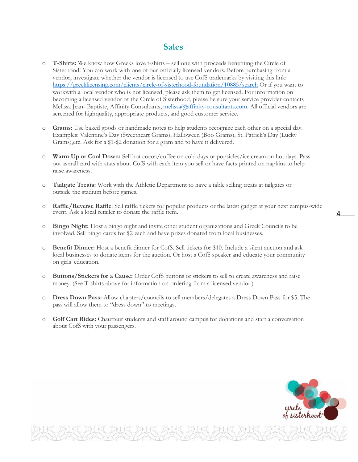#### **Sales**

- o **T-Shirts:** We know how Greeks love t-shirts sell one with proceeds benefiting the Circle of Sisterhood! You can work with one of our officially licensed vendors. Before purchasing from a vendor, investigate whether the vendor is licensed to use CofS trademarks by visiting this link: <https://greeklicensing.com/clients/circle-of-sisterhood-foundation/10885/search> Or if you want to workwith a local vendor who is not licensed, please ask them to get licensed. For information on becoming a licensed vendor of the Circle of Sisterhood, please be sure your service provider contacts Melissa Jean- Baptiste, Affinity Consultants, [melissa@affinity-consultants.com.](mailto:melissa@affinity-consultants.com) All official vendors are screened for highquality, appropriate products, and good customer service.
- o **Grams:** Use baked goods or handmade notes to help students recognize each other on a special day. Examples: Valentine's Day (Sweetheart Grams), Halloween (Boo Grams), St. Patrick's Day (Lucky Grams),etc. Ask for a \$1-\$2 donation for a gram and to have it delivered.
- **Warm** Up or Cool Down: Sell hot cocoa/coffee on cold days or popsicles/ice cream on hot days. Pass out asmall card with stats about CofS with each item you sell or have facts printed on napkins to help raise awareness.
- o **Tailgate Treats:** Work with the Athletic Department to have a table selling treats at tailgates or outside the stadium before games.
- o **Raffle/Reverse Raffle**: Sell raffle tickets for popular products or the latest gadget at your next campus-wide event. Ask a local retailer to donate the raffle item. 4
- o **Bingo Night:** Host a bingo night and invite other student organizations and Greek Councils to be involved. Sell bingo cards for \$2 each and have prizes donated from local businesses.
- **Benefit Dinner:** Host a benefit dinner for CofS. Sell tickets for \$10. Include a silent auction and ask local businesses to donate items for the auction. Or host a CofS speaker and educate your community on girls' education.
- o **Buttons/Stickers for a Cause:** Order CofS buttons or stickers to sell to create awareness and raise money. (See T-shirts above for information on ordering from a licensed vendor.)
- o **Dress Down Pass:** Allow chapters/councils to sell members/delegates a Dress Down Pass for \$5. The pass will allow them to "dress down" to meetings.
- Golf Cart Rides: Chauffeur students and staff around campus for donations and start a conversation about CofS with your passengers.

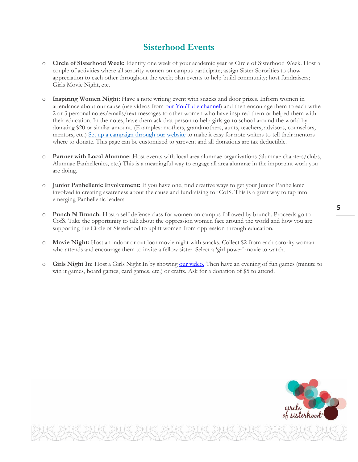# **Sisterhood Events**

- o **Circle of Sisterhood Week:** Identify one week of your academic year as Circle of Sisterhood Week. Host a couple of activities where all sorority women on campus participate; assign Sister Sororities to show appreciation to each other throughout the week; plan events to help build community; host fundraisers; Girls Movie Night, etc.
- o **Inspiring Women Night:** Have a note writing event with snacks and door prizes. Inform women in attendance about our cause (use videos from [our YouTube channel\)](https://youtu.be/NQMasYJo13U) and then encourage them to each write 2 or 3 personal notes/emails/text messages to other women who have inspired them or helped them with their education. In the notes, have them ask that person to help girls go to school around the world by donating \$20 or similar amount. (Examples: mothers, grandmothers, aunts, teachers, advisors, counselors, mentors, etc.) [Set up a campaign through our](https://circleofsisterhood.networkforgood.com/projects/159572-help-remove-barriers-to-education) website to make it easy for note writers to tell their mentors where to donate. This page can be customized to yarevent and all donations are tax deductible.
- Partner with Local Alumnae: Host events with local area alumnae organizations (alumnae chapters/clubs, Alumnae Panhellenics, etc.) This is a meaningful way to engage all area alumnae in the important work you are doing.
- o **Junior Panhellenic Involvement:** If you have one, find creative ways to get your Junior Panhellenic involved in creating awareness about the cause and fundraising for CofS. This is a great way to tap into emerging Panhellenic leaders.
- o **Punch N Brunch:** Host a self-defense class for women on campus followed by brunch. Proceeds go to CofS. Take the opportunity to talk about the oppression women face around the world and how you are supporting the Circle of Sisterhood to uplift women from oppression through education.
- **Movie Night:** Host an indoor or outdoor movie night with snacks. Collect \$2 from each sorority woman who attends and encourage them to invite a fellow sister. Select a 'girl power' movie to watch.
- o **Girls Night In:** Host a Girls Night In by showing [our video.](https://youtu.be/NQMasYJo13U) Then have an evening of fun games (minute to win it games, board games, card games, etc.) or crafts. Ask for a donation of \$5 to attend.

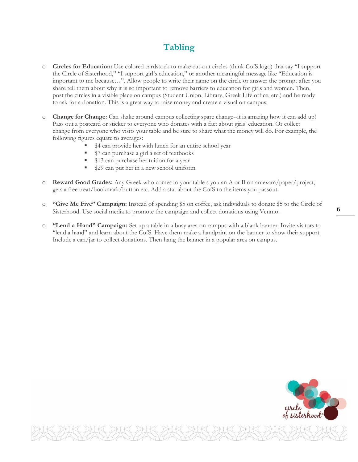# **Tabling**

- o **Circles for Education:** Use colored cardstock to make cut-out circles (think CofS logo) that say "I support the Circle of Sisterhood," "I support girl's education," or another meaningful message like "Education is important to me because…". Allow people to write their name on the circle or answer the prompt after you share tell them about why it is so important to remove barriers to education for girls and women. Then, post the circles in a visible place on campus (Student Union, Library, Greek Life office, etc.) and be ready to ask for a donation. This is a great way to raise money and create a visual on campus.
- **Change for Change:** Can shake around campus collecting spare change--it is amazing how it can add up! Pass out a postcard or sticker to everyone who donates with a fact about girls' education. Or collect change from everyone who visits your table and be sure to share what the money will do. For example, the following figures equate to averages:
	- \$4 can provide her with lunch for an entire school year
	- \$7 can purchase a girl a set of textbooks
	- \$13 can purchase her tuition for a year
	- \$29 can put her in a new school uniform
- o **Reward Good Grades:** Any Greek who comes to your table s you an A or B on an exam/paper/project, gets a free treat/bookmark/button etc. Add a stat about the CofS to the items you passout.
- o **"Give Me Five" Campaign:** Instead of spending \$5 on coffee, ask individuals to donate \$5 to the Circle of Sisterhood. Use social media to promote the campaign and collect donations using Venmo. 6
- o **"Lend a Hand" Campaign:** Set up a table in a busy area on campus with a blank banner. Invite visitors to "lend a hand" and learn about the CofS. Have them make a handprint on the banner to show their support. Include a can/jar to collect donations. Then hang the banner in a popular area on campus.